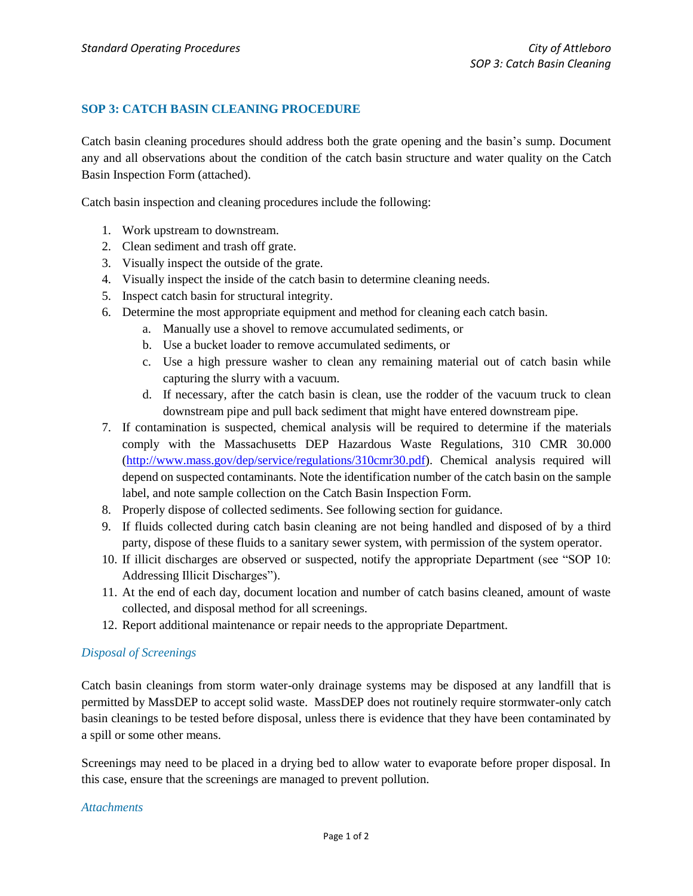## **SOP 3: CATCH BASIN CLEANING PROCEDURE**

Catch basin cleaning procedures should address both the grate opening and the basin's sump. Document any and all observations about the condition of the catch basin structure and water quality on the Catch Basin Inspection Form (attached).

Catch basin inspection and cleaning procedures include the following:

- 1. Work upstream to downstream.
- 2. Clean sediment and trash off grate.
- 3. Visually inspect the outside of the grate.
- 4. Visually inspect the inside of the catch basin to determine cleaning needs.
- 5. Inspect catch basin for structural integrity.
- 6. Determine the most appropriate equipment and method for cleaning each catch basin.
	- a. Manually use a shovel to remove accumulated sediments, or
	- b. Use a bucket loader to remove accumulated sediments, or
	- c. Use a high pressure washer to clean any remaining material out of catch basin while capturing the slurry with a vacuum.
	- d. If necessary, after the catch basin is clean, use the rodder of the vacuum truck to clean downstream pipe and pull back sediment that might have entered downstream pipe.
- 7. If contamination is suspected, chemical analysis will be required to determine if the materials comply with the Massachusetts DEP Hazardous Waste Regulations, 310 CMR 30.000 [\(http://www.mass.gov/dep/service/regulations/310cmr30.pdf\)](http://www.mass.gov/dep/service/regulations/310cmr30.pdf). Chemical analysis required will depend on suspected contaminants. Note the identification number of the catch basin on the sample label, and note sample collection on the Catch Basin Inspection Form.
- 8. Properly dispose of collected sediments. See following section for guidance.
- 9. If fluids collected during catch basin cleaning are not being handled and disposed of by a third party, dispose of these fluids to a sanitary sewer system, with permission of the system operator.
- 10. If illicit discharges are observed or suspected, notify the appropriate Department (see "SOP 10: Addressing Illicit Discharges").
- 11. At the end of each day, document location and number of catch basins cleaned, amount of waste collected, and disposal method for all screenings.
- 12. Report additional maintenance or repair needs to the appropriate Department.

## *Disposal of Screenings*

Catch basin cleanings from storm water-only drainage systems may be disposed at any landfill that is permitted by MassDEP to accept solid waste. MassDEP does not routinely require stormwater-only catch basin cleanings to be tested before disposal, unless there is evidence that they have been contaminated by a spill or some other means.

Screenings may need to be placed in a drying bed to allow water to evaporate before proper disposal. In this case, ensure that the screenings are managed to prevent pollution.

## *Attachments*